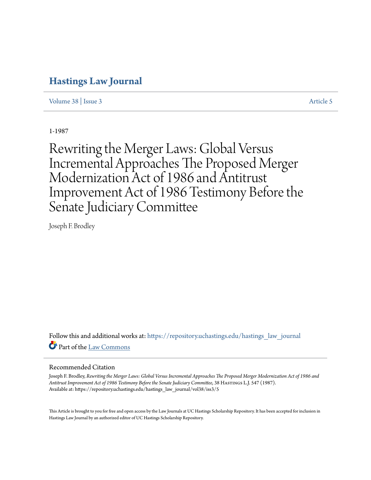# **[Hastings Law Journal](https://repository.uchastings.edu/hastings_law_journal?utm_source=repository.uchastings.edu%2Fhastings_law_journal%2Fvol38%2Fiss3%2F5&utm_medium=PDF&utm_campaign=PDFCoverPages)**

[Volume 38](https://repository.uchastings.edu/hastings_law_journal/vol38?utm_source=repository.uchastings.edu%2Fhastings_law_journal%2Fvol38%2Fiss3%2F5&utm_medium=PDF&utm_campaign=PDFCoverPages) | [Issue 3](https://repository.uchastings.edu/hastings_law_journal/vol38/iss3?utm_source=repository.uchastings.edu%2Fhastings_law_journal%2Fvol38%2Fiss3%2F5&utm_medium=PDF&utm_campaign=PDFCoverPages) [Article 5](https://repository.uchastings.edu/hastings_law_journal/vol38/iss3/5?utm_source=repository.uchastings.edu%2Fhastings_law_journal%2Fvol38%2Fiss3%2F5&utm_medium=PDF&utm_campaign=PDFCoverPages)

1-1987

Rewriting the Merger Laws: Global Versus Incremental Approaches The Proposed Merger Modernization Act of 1986 and Antitrust Improvement Act of 1986 Testimony Before the Senate Judiciary Committee

Joseph F. Brodley

Follow this and additional works at: [https://repository.uchastings.edu/hastings\\_law\\_journal](https://repository.uchastings.edu/hastings_law_journal?utm_source=repository.uchastings.edu%2Fhastings_law_journal%2Fvol38%2Fiss3%2F5&utm_medium=PDF&utm_campaign=PDFCoverPages) Part of the [Law Commons](http://network.bepress.com/hgg/discipline/578?utm_source=repository.uchastings.edu%2Fhastings_law_journal%2Fvol38%2Fiss3%2F5&utm_medium=PDF&utm_campaign=PDFCoverPages)

### Recommended Citation

Joseph F. Brodley, *Rewriting the Merger Laws: Global Versus Incremental Approaches The Proposed Merger Modernization Act of 1986 and Antitrust Improvement Act of 1986 Testimony Before the Senate Judiciary Committee*, 38 Hastings L.J. 547 (1987). Available at: https://repository.uchastings.edu/hastings\_law\_journal/vol38/iss3/5

This Article is brought to you for free and open access by the Law Journals at UC Hastings Scholarship Repository. It has been accepted for inclusion in Hastings Law Journal by an authorized editor of UC Hastings Scholarship Repository.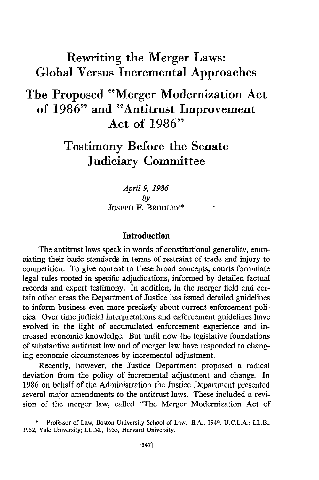# Rewriting the Merger Laws: Global Versus Incremental Approaches

# The Proposed "Merger Modernization Act of **1986"** and "Antitrust Improvement Act of **1986"**

# Testimony Before the Senate Judiciary Committee

*April 9, 1986 by* **JOSEPH** F. BRODLEY\*

### **Introduction**

The antitrust laws speak in words of constitutional generality, enunciating their basic standards in terms of restraint of trade and injury to competition. To give content to these broad concepts, courts formulate legal rules rooted in specific adjudications, informed by detailed factual records and expert testimony. In addition, in the merger field and certain other areas the Department of Justice has issued detailed guidelines to inform business even more precisely about current enforcement policies. Over time judicial interpretations and enforcement guidelines have evolved in the light of accumulated enforcement experience and increased economic knowledge. But until now the legislative foundations of substantive antitrust law and of merger law have responded to changing economic circumstances by incremental adjustment.

Recently, however, the Justice Department proposed a radical deviation from the policy of incremental adjustment and change. In 1986 on behalf of the Administration the Justice Department presented several major amendments to the antitrust laws. These included a revision of the merger law, called "The Merger Modernization Act of

Professor of Law, Boston University School of Law. B.A., 1949, U.C.L.A.; LL.B., 1952, Yale University; LL.M., 1953, Harvard University.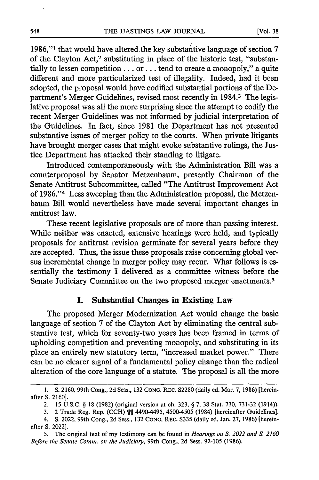1986,"<sup>1</sup> that would have altered the key substantive language of section 7 of the Clayton Act,<sup>2</sup> substituting in place of the historic test, "substantially to lessen competition... or... tend to create a monopoly," a quite different and more particularized test of illegality. Indeed, had it been adopted, the proposal would have codified substantial portions of the Department's Merger Guidelines, revised most recently in 1984.<sup>3</sup> The legislative proposal was all the more surprising since the attempt to codify the recent Merger Guidelines was not informed by judicial interpretation of the Guidelines. In fact, since 1981 the Department has not presented substantive issues of merger policy to the courts. When private litigants have brought merger cases that might evoke substantive rulings, the Justice Department has attacked their standing to litigate.

Introduced contemporaneously with the Administration Bill was a counterproposal by Senator Metzenbaum, presently Chairman of the Senate Antitrust Subcommittee, called "The Antitrust Improvement Act of 1986."<sup>4</sup> Less sweeping than the Administration proposal, the Metzenbaum Bill would nevertheless have made several important changes in antitrust law.

These recent legislative proposals are of more than passing interest. While neither was enacted, extensive hearings were held, and typically proposals for antitrust revision germinate for several years before they are accepted. Thus, the issue these proposals raise concerning global versus incremental change in merger policy may recur. What follows is essentially the testimony I delivered as a committee witness before the Senate Judiciary Committee on the two proposed merger enactments.<sup>5</sup>

## **I. Substantial Changes in Existing Law**

The proposed Merger Modernization Act would change the basic language of section 7 of the Clayton Act by eliminating the central substantive test, which for seventy-two years has been framed in terms of upholding competition and preventing monopoly, and substituting in its place an entirely new statutory term, "increased market power." There can be no clearer signal of a fundamental policy change than the radical alteration of the core language of a statute. The proposal is all the more

**<sup>1.</sup> S.** 2160, 99th Cong., 2d Sess., 132 CONG. REC. **S2280** (daily ed. Mar. 7, 1986) [hereinafter **S.** 2160].

<sup>2. 15</sup> U.S.C. § 18 (1982) (original version at ch. 323, § 7, 38 Stat. 730, 731-32 (1914)).

<sup>3. 2</sup> Trade Reg. Rep. (CCH) 4490-4495, 4500-4505 (1984) [hereinafter Guidelines].

<sup>4.</sup> **S.** 2022, 99th Cong., 2d Sess., 132 **CONG.** REC. S335 (daily ed. Jan. 27, 1986) [hereinafter **S.** 2022].

<sup>5.</sup> The original text of my testimony can be found in *Hearings on S. 2022 and S. 2160* Before the Senate Comm. on the *Judiciary,* 99th Cong., 2d Sess. 92-105 (1986).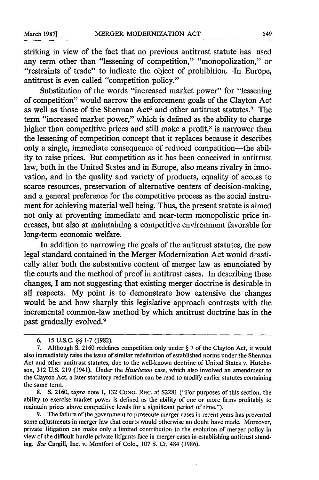striking in view of the fact that no previous antitrust statute has used any term other than "lessening of competition," "monopolization," or "restraints of trade" to indicate the object of prohibition. In Europe, antitrust is even called "competition policy."

Substitution of the words "increased market power" for "lessening of competition" would narrow the enforcement goals of the Clayton Act as well as those of the Sherman Act<sup>6</sup> and other antitrust statutes.<sup>7</sup> The term "increased market power," which is defined as the ability to charge higher than competitive prices and still make a profit, $s$  is narrower than the lessening of competition concept that it replaces because it describes only a single, immediate consequence of reduced competition-the ability to raise prices. But competition as it has been conceived in antitrust law, both in the United States and in Europe, also means rivalry in innovation, and in the quality and variety of products, equality of access to scarce resources, preservation of alternative centers of decision-making, and a general preference for the competitive process as the social instrument for achieving material well being. Thus, the present statute is aimed not only at preventing immediate and near-term monopolistic price increases, but also at maintaining a competitive environment favorable for long-term economic welfare.

In addition to narrowing the goals of the antitrust statutes, the new legal standard contained in the Merger Modernization Act would drastically alter both the substantive content of merger law as enunciated by the courts and the method of proof in antitrust cases. In describing these changes, I am not suggesting that existing merger doctrine is desirable in all respects. My point is to demonstrate how extensive the changes would be and how sharply this legislative approach contrasts with the incremental common-law method by which antitrust doctrine has in the past gradually evolved.<sup>9</sup>

**<sup>6. 15</sup> U.S.C.** §§ **1-7 (1982).**

**<sup>7.</sup>** Although **S. 2160** redefines competition only under § **7** of the Clayton Act, it would also immediately raise the issue of similar redefinition of established norms under the Sherman Act and other antitrust statutes, due to the well-known doctrine of United States v. Hutcheson, 312 U.S. 219 (1941). Under the *Hutcheson* case, which also involved an amendment to the Clayton Act, a later statutory redefinition can be read to modify earlier statutes containing the same term.

<sup>8.</sup> **S.** 2160, *supra* note **1,** 132 **CONG.** REC. at S2281 ("For purposes of this section, the ability to exercise market power is defined as the ability of one or more firms profitably to maintain prices above competitive levels for a significant period of time.").

The failure of the government to prosecute merger cases in recent years has prevented some adjustments in merger law that courts would otherwise no doubt have made. Moreover, private litigation can make only a limited contribution to the evolution of merger policy in view of the difficult hurdle private litigants face in merger cases in establishing antitrust standing. *See* Cargill, Inc. v. Montfort of Colo., 107 **S.** Ct. 484 (1986).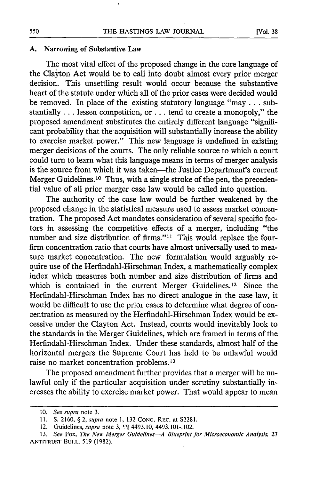#### **A.** Narrowing of Substantive Law

The most vital effect of the proposed change in the core language of the Clayton Act would be to call into doubt almost every prior merger decision. This unsettling result would occur because the substantive heart of the statute under which all of the prior cases were decided would be removed. In place of the existing statutory language "may **...** substantially **...** lessen competition, or **...** tend to create a monopoly," the proposed amendment substitutes the entirely different language "significant probability that the acquisition will substantially increase the ability to exercise market power." This new language is undefined in existing merger decisions of the courts. The only reliable source to which a court could turn to learn what this language means in terms of merger analysis is the source from which it was taken-the Justice Department's current Merger Guidelines.<sup>10</sup> Thus, with a single stroke of the pen, the precedential value of all prior merger case law would be called into question.

The authority of the case law would be further weakened by the proposed change in the statistical measure used to assess market concentration. The proposed Act mandates consideration of several specific factors in assessing the competitive effects of a merger, including "the number and size distribution of firms."<sup>11</sup> This would replace the fourfirm concentration ratio that courts have almost universally used to measure market concentration. The new formulation would arguably require use of the Herfindahl-Hirschman Index, a mathematically complex index which measures both number and size distribution of firms and which is contained in the current Merger Guidelines.<sup>12</sup> Since the Herfindahl-Hirschman Index has no direct analogue in the case law, it would be difficult to use the prior cases to determine what degree of concentration as measured by the Herfindahl-Hirschman Index would be excessive under the Clayton Act. Instead, courts would inevitably look to the standards in the Merger Guidelines, which are framed in terms of the Herfindahl-Hirschman Index. Under these standards, almost half of the horizontal mergers the Supreme Court has held to be unlawful would raise no market concentration problems.1<sup>3</sup>

The proposed amendment further provides that a merger will be unlawful only if the particular acquisition under scrutiny substantially increases the ability to exercise market power. That would appear to mean

<sup>10.</sup> See *supra* note **3.**

<sup>11.</sup> S. 2160, § 2, *supra* note 1, 132 CONG. REC. at S2281.

<sup>12.</sup> Guidelines, *supra* note 3, <sup>1</sup>[4493.10, 4493.101-.102.

<sup>13.</sup> *See* Fox, The *New Merger Guidelines-A Bheprint for Microeconomic Analysis,* 27 **ANTrIRus-r** Bui.i.. 519 (1982).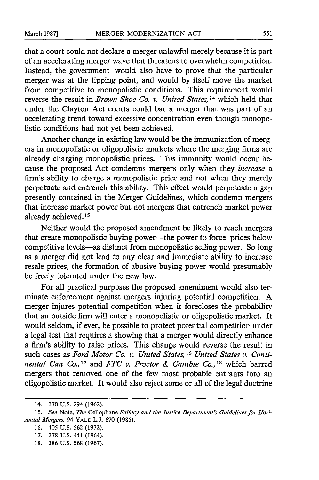that a court could not declare a merger unlawful merely because it is part of an accelerating merger wave that threatens to overwhelm competition. Instead, the government would also have to prove that the particular merger was at the tipping point, and would by itself move the market from competitive to monopolistic conditions. This requirement would reverse the result in *Brown Shoe Co. v. United States, 4* which held that under the Clayton Act courts could bar a merger that was part of an accelerating trend toward excessive concentration even though monopolistic conditions had not yet been achieved.

Another change in existing law would be the immunization of mergers in monopolistic or oligopolistic markets where the merging firms are already charging monopolistic prices. This immunity would occur because the proposed Act condemns mergers only when they *increase a* firm's ability to charge a monopolistic price and not when they merely perpetuate and entrench this ability. This effect would perpetuate a gap presently contained in the Merger Guidelines, which condemn mergers that increase market power but not mergers that entrench market power already achieved.<sup>15</sup>

Neither would the proposed amendment be likely to reach mergers that create monopolistic buying power-the power to force prices below competitive levels-as distinct from monopolistic selling power. So long as a merger did not lead to any clear and immediate ability to increase resale prices, the formation of abusive buying power would presumably be freely tolerated under the new law.

For all practical purposes the proposed amendment would also terminate enforcement against mergers injuring potential competition. A merger injures potential competition when it forecloses the probability that an outside firm will enter a monopolistic or oligopolistic market. It would seldom, if ever, be possible to protect potential competition under a legal test that requires a showing that a merger would directly enhance a firm's ability to raise prices. This change would reverse the result in such cases as *Ford Motor Co. v. United States*, <sup>16</sup> United States v. Conti*nental Can Co.,' <sup>7</sup>*and *FTC v. Proctor & Gamble Co., <sup>8</sup>*which barred mergers that removed one of the few most probable entrants into an oligopolistic market. It would also reject some or all of the legal doctrine

<sup>14. 370</sup> U.S. 294 (1962).

<sup>15.</sup> *See Note, The* Cellophane *Fallacy and the Justice Department's Guidelines for Horizontal Mergers,* 94 YALE **L.J. 670** (1985).

<sup>16. 405</sup> U.S. 562 (1972).

<sup>17. 378</sup> U.S. 441 (1964).

<sup>18. 386</sup> U.S. 568 (1967).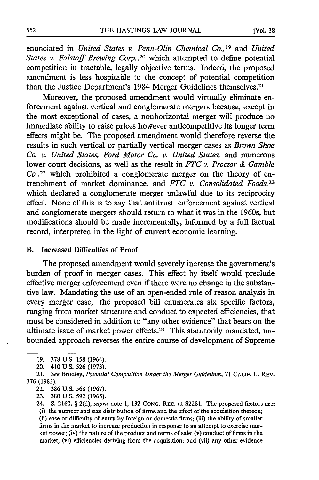enunciated in *United States v. Penn-Olin Chemical Co.*, <sup>19</sup> and *United States v. Falstaff Brewing Corp. ,20* which attempted to define potential competition in tractable, legally objective terms. Indeed, the proposed amendment is less hospitable to the concept of potential competition than the Justice Department's 1984 Merger Guidelines themselves.2'

Moreover, the proposed amendment would virtually eliminate enforcement against vertical and conglomerate mergers because, except in the most exceptional of cases, a nonhorizontal merger will produce no immediate ability to raise prices however anticompetitive its longer term effects might be. The proposed amendment would therefore reverse the results in such vertical or partially vertical merger cases as *Brown Shoe Co. v. United States, Ford Motor Co. v. United States,* and numerous lower court decisions, as well as the result in *FTC v. Proctor & Gamble Co.,2 <sup>2</sup>*which prohibited a conglomerate merger on the theory of entrenchment of market dominance, and *FTC v. Consolidated Foods,23* which declared a conglomerate merger unlawful due to its reciprocity effect. None of this is to say that antitrust enforcement against vertical and conglomerate mergers should return to what it was in the 1960s, but modifications should be made incrementally, informed by a full factual record, interpreted in the light of current economic learning.

#### B. Increased Difficulties of Proof

The proposed amendment would severely increase the government's burden of proof in merger cases. This effect by itself would preclude effective merger enforcement even if there were no change in the substantive law. Mandating the use of an open-ended rule of reason analysis in every merger case, the proposed bill enumerates six specific factors, ranging from market structure and conduct to expected efficiencies, that must be considered in addition to "any other evidence" that bears on the ultimate issue of market power effects.24 This statutorily mandated, unbounded approach reverses the entire course of development of Supreme

<sup>19. 378</sup> U.S. 158 (1964).

<sup>20. 410</sup> U.S. 526 (1973).

<sup>21.</sup> *See* Brodley, *Potential Competition Under the Merger Guidelines,* 71 **CALIF.** L. REv. 376 (1983).

<sup>22. 386</sup> U.S. 568 (1967).

<sup>23. 380</sup> U.S. 592 (1965).

<sup>24.</sup> **S.** 2160, § 2(d), *supra* note 1, 132 CONG. REC. at S2281. The proposed factors are: (i) the number and size distribution of firms and the effect of the acquisition thereon; (ii) ease or difficulty of entry by foreign or domestic firms; (iii) the ability of smaller firms in the market to increase production in response to an attempt to exercise market power; (iv) the nature of the product and terms of sale; (v) conduct of firms in the market; (vi) efficiencies deriving from the acquisition; and (vii) any other evidence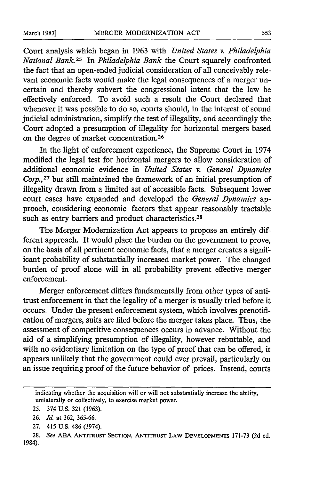Court analysis which began in 1963 with *United States v. Philadelphia National Bank.2 <sup>5</sup>*In *Philadelphia Bank* the Court squarely confronted the fact that an open-ended judicial consideration of all conceivably relevant economic facts would make the legal consequences of a merger uncertain and thereby subvert the congressional intent that the law be effectively enforced. To avoid such a result the Court declared that whenever it was possible to do so, courts should, in the interest of sound judicial administration, simplify the test of illegality, and accordingly the Court adopted a presumption of illegality for horizontal mergers based on the degree of market concentration.<sup>26</sup>

In the light of enforcement experience, the Supreme Court in 1974 modified the legal test for horizontal mergers to allow consideration of additional economic evidence in *United States v. General Dynamics Corp.,27* but still maintained the framework of an initial presumption of illegality drawn from a limited set of accessible facts. Subsequent lower court cases have expanded and developed the *General Dynamics* approach, considering economic factors that appear reasonably tractable such as entry barriers and product characteristics.<sup>28</sup>

The Merger Modernization Act appears to propose an entirely different approach. It would place the burden on the government to prove, on the basis of all pertinent economic facts, that a merger creates a significant probability of substantially increased market power. The changed burden of proof alone will in all probability prevent effective merger enforcement.

Merger enforcement differs fundamentally from other types of antitrust enforcement in that the legality of a merger is usually tried before it occurs. Under the present enforcement system, which involves prenotification of mergers, suits are filed before the merger takes place. Thus, the assessment of competitive consequences occurs in advance. Without the aid of a simplifying presumption of illegality, however rebuttable, and with no evidentiary limitation on the type of proof that can be offered, it appears unlikely that the government could ever prevail, particularly on an issue requiring proof of the future behavior of prices. Instead, courts

indicating whether the acquisition will or will not substantially increase the ability, unilaterally or collectively, to exercise market power.

<sup>25. 374</sup> **U.S. 321 (1963).**

**<sup>26.</sup>** *Id.* at 362, 365-66.

<sup>27. 415</sup> U.S. 486 (1974).

<sup>28.</sup> *See* **ABA ANTITRUST SECTION,** ANTITRUST LAW **DEVELOPMENTS** 171-73 (2d ed. 1984).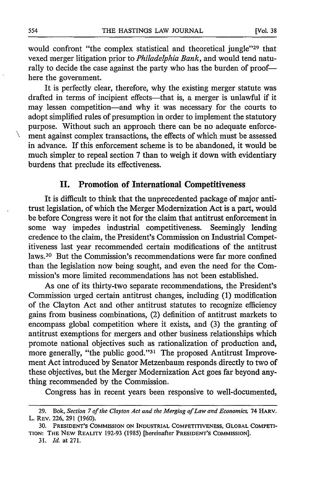would confront "the complex statistical and theoretical jungle"<sup>29</sup> that vexed merger litigation prior to *Philadelphia Bank,* and would tend naturally to decide the case against the party who has the burden of proof here the government.

It is perfectly clear, therefore, why the existing merger statute was drafted in terms of incipient effects—that is, a merger is unlawful if it may lessen competition-and why it was necessary for the courts to adopt simplified rules of presumption in order to implement the statutory purpose. Without such an approach there can be no adequate enforcement against complex transactions, the effects of which must be assessed in advance. If this enforcement scheme is to be abandoned, it would be much simpler to repeal section 7 than to weigh it down with evidentiary burdens that preclude its effectiveness.

## **II. Promotion of International Competitiveness**

It is difficult to think that the unprecedented package of major antitrust legislation, of which the Merger Modernization Act is a part, would be before Congress were it not for the claim that antitrust enforcement in some way impedes industrial competitiveness. Seemingly lending credence to the claim, the President's Commission on Industrial Competitiveness last year recommended certain modifications of the antitrust laws.30 But the Commission's recommendations were far more confined than the legislation now being sought, and even the need for the Commission's more limited recommendations has not been established.

As one of its thirty-two separate recommendations, the President's Commission urged certain antitrust changes, including (1) modification of the Clayton Act and other antitrust statutes to recognize efficiency gains from business combinations, (2) definition of antitrust markets to encompass global competition where it exists, and (3) the granting of antitrust exemptions for mergers and other business relationships which promote national objectives such as rationalization of production and, more generally, "the public good."<sup>31</sup> The proposed Antitrust Improvement Act introduced by Senator Metzenbaum responds directly to two of these objectives, but the Merger Modernization Act goes far beyond anything recommended by the Commission.

Congress has in recent years been responsive to well-documented,

X

**<sup>29.</sup>** Bok, *Section 7 of the Clayton Act and the Merging of Law and Economics,* 74 **HARV.** L. REV. 226, 291 (1960).

**<sup>30.</sup> PRESIDENT'S COMMISSION ON** INDUSTRIAL COMPETITIVENESS, GLOBAL COMPETI-**TION:** THE NEW REALITY 192-93 (1985) [hereinafter **PRESIDENT'S COMMISSION].**

<sup>31.</sup> *Id.* at 271.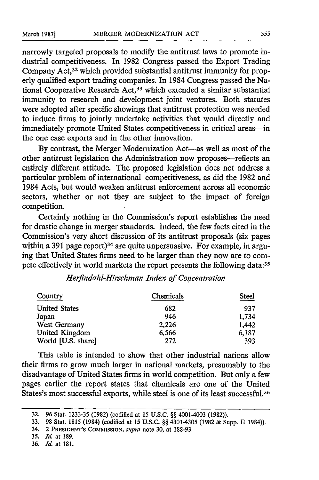narrowly targeted proposals to modify the antitrust laws to promote industrial competitiveness. In 1982 Congress passed the Export Trading Company Act,<sup>32</sup> which provided substantial antitrust immunity for properly qualified export trading companies. In 1984 Congress passed the National Cooperative Research Act, 33 which extended a similar substantial immunity to research and development joint ventures. Both statutes were adopted after specific showings that antitrust protection was needed to induce firms to jointly undertake activities that would directly and immediately promote United States competitiveness in critical areas-in the one case exports and in the other innovation.

By contrast, the Merger Modernization Act-as well as most of the other antitrust legislation the Administration now proposes-reflects an entirely different attitude. The proposed legislation does not address a particular problem of international competitiveness, as did the 1982 and 1984 Acts, but would weaken antitrust enforcement across all economic sectors, whether or not they are subject to the impact of foreign competition.

Certainly nothing in the Commission's report establishes the need for drastic change in merger standards. Indeed, the few facts cited in the Commission's very short discussion of its antitrust proposals (six pages within a 391 page report)<sup>34</sup> are quite unpersuasive. For example, in arguing that United States firms need to be larger than they now are to compete effectively in world markets the report presents the following data:35

## *Herfindahl-Hirschman Index of Concentration*

| Country              | Chemicals | Steel |
|----------------------|-----------|-------|
| <b>United States</b> | 682       | 937   |
| Japan                | 946       | 1,734 |
| West Germany         | 2,226     | 1,442 |
| United Kingdom       | 6,566     | 6,187 |
| World [U.S. share]   | 272       | 393   |

This table is intended to show that other industrial nations allow their firms to grow much larger in national markets, presumably to the disadvantage of United States firms in world competition. But only a few pages earlier the report states that chemicals are one of the United States's most successful exports, while steel is one of its least successful. <sup>36</sup>

<sup>32. 96</sup> Stat. 1233-35 (1982) (codified at 15 U.S.C. §§ 4001-4003 (1982)).

<sup>33. 98</sup> Stat. 1815 (1984) (codified at 15 U.S.C. §§ 4301-4305 (1982 & Supp. 11 1984)).

<sup>34. 2</sup> **PRESIDENT'S COMMISSION,** *supra* note 30, at 188-93.

**<sup>35.</sup>** *Id.* at 189.

<sup>36.</sup> *Id.* at 181.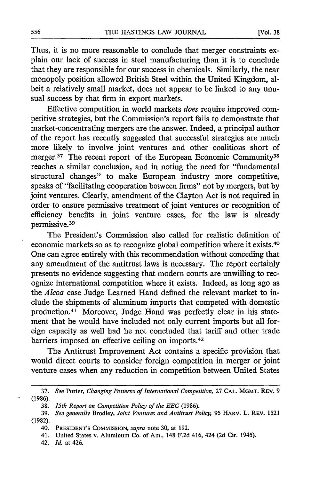Thus, it is no more reasonable to conclude that merger constraints explain our lack of success in steel manufacturing than it is to conclude that they are responsible for our success in chemicals. Similarly, the near monopoly position allowed British Steel within the United Kingdom, albeit a relatively small market, does not appear to be linked to any unusual success by that firm in export markets.

Effective competition in world markets *does* require improved competitive strategies, but the Commission's report fails to demonstrate that market-concentrating mergers are the answer. Indeed, a principal author of the report has recently suggested that successful strategies are much more likely to involve joint ventures and other coalitions short of merger.<sup>37</sup> The recent report of the European Economic Community<sup>38</sup> reaches a similar conclusion, and in noting the need for "fundamental structural changes" to make European industry more competitive, speaks of "facilitating cooperation between firms" not by mergers, but by joint ventures. Clearly, amendment of the Clayton Act is not required in order to ensure permissive treatment of joint ventures or recognition of efficiency benefits in joint venture cases, for the law is already permissive. <sup>39</sup>

The President's Commission also called for realistic definition of economic markets so as to recognize global competition where it exists.<sup>40</sup> One can agree entirely with this recommendation without conceding that any amendment of the antitrust laws is necessary. The report certainly presents no evidence suggesting that modern courts are unwilling to recognize international competition where it exists. Indeed, as long ago as the *Alcoa* case Judge Learned Hand defined the relevant market to include the shipments of aluminum imports that competed with domestic production.<sup>41</sup> Moreover, Judge Hand was perfectly clear in his statement that he would have included not only current imports but all foreign capacity as well had he not concluded that tariff and other trade barriers imposed an effective ceiling on imports.<sup>42</sup>

The Antitrust Improvement Act contains a specific provision that would direct courts to consider foreign competition in merger or joint venture cases when any reduction in competition between United States

<sup>37.</sup> *See* Porter, *Changing Patterns of International Competition,* **27 CAL.** MGMT. REv. **9** (1986).

<sup>38.</sup> *15th Report on Competition Policy of the EEC* (1986).

<sup>39.</sup> *See generally* Brodley, *Joint Ventures and Antitrust Policy,* **95** HARV. L. REV. **1521** (1982).

<sup>40.</sup> **PRESIDENT'S COMMISSION,** *supra* note 30, at 192.

<sup>41.</sup> United States v. Aluminum **Co.** of Am., 148 **F.2d** 416, 424 **(2d** Cir. 1945).

<sup>42.</sup> *Id.* at 426.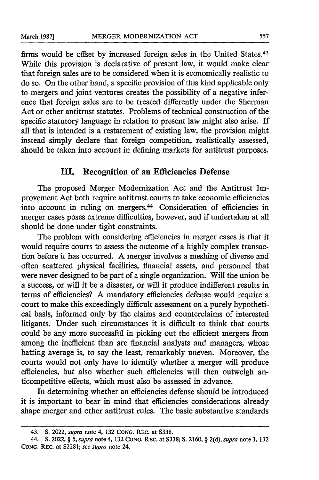firms would be offset by increased foreign sales in the United States.<sup>43</sup> While this provision is declarative of present law, it would make clear that foreign sales are to be considered when it is economically realistic to do so. On the other hand, a specific provision of this kind applicable only to mergers and joint ventures creates the possibility of a negative inference that foreign sales are to be treated differently under the Sherman Act or other antitrust statutes. Problems of technical construction of the specific statutory language in relation to present law might also arise. If all that is intended is a restatement of existing law, the provision might instead simply declare that foreign competition, realistically assessed, should be taken into account in defining markets for antitrust purposes.

### **III. Recognition of an Efficiencies Defense**

The proposed Merger Modernization Act and the Antitrust Improvement Act both require antitrust courts to take economic efficiencies into account in ruling on mergers.<sup>44</sup> Consideration of efficiencies in merger cases poses extreme difficulties, however, and if undertaken at all should be done under tight constraints.

The problem with considering efficiencies in merger cases is that it would require courts to assess the outcome of a highly complex transaction before it has occurred. A merger involves a meshing of diverse and often scattered physical facilities, financial assets, and personnel that were never designed to be part of a single organization. Will the union be a success, or will it be a disaster, or will it produce indifferent results in terms of efficiencies? A mandatory efficiencies defense would require a court to make this exceedingly difficult assessment on a purely hypothetical basis, informed only by the claims and counterclaims of interested litigants. Under such circumstances it is difficult to think that courts could be any more successful in picking out the efficient mergers from among the inefficient than are financial analysts and managers, whose batting average is, to say the least, remarkably uneven. Moreover, the courts would not only have to identify whether a merger will produce efficiencies, but also whether such efficiencies will then outweigh anticompetitive effects, which must also be assessed in advance.

In determining whether an efficiencies defense should be introduced it is important to bear in mind that efficiencies considerations already shape merger and other antitrust rules. The basic substantive standards

<sup>43.</sup> **S.** 2022, *supra* note **4, 132 CONG. REC.** at **S338.**

<sup>44.</sup> S. 2022, § 5, *supra* note 4, 132 **CONG.** REC. at 5338; **S.** 2160, § 2(d), *supra* note **1, 132 CONG.** REC. at **52281;** *see supra* note 24.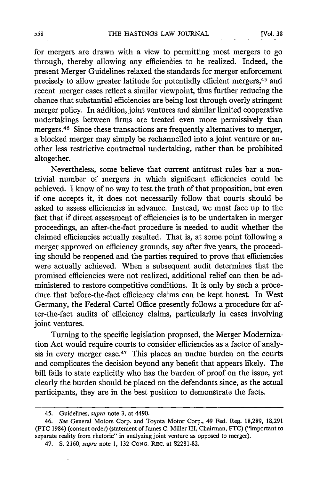for mergers are drawn with a view to permitting most mergers to go through, thereby allowing any efficiencies to be realized. Indeed, the present Merger Guidelines relaxed the standards for merger enforcement precisely to allow greater latitude for potentially efficient mergers,45 and recent merger cases reflect a similar viewpoint, thus further reducing the chance that substantial efficiencies are being lost through overly stringent merger policy. In addition, joint ventures and similar limited cooperative undertakings between firms are treated even more permissively than mergers. 46 Since these transactions are frequently alternatives to merger, a blocked merger may simply be rechannelled into a joint venture or another less restrictive contractual undertaking, rather than be prohibited altogether.

Nevertheless, some believe that current antitrust rules bar a nontrivial number of mergers in which significant efficiencies could be achieved. I know of no way to test the truth of that proposition, but even if one accepts it, it does not necessarily follow that courts should be asked to assess efficiencies in advance. Instead, we must face up to the fact that if direct assessment of efficiencies is to be undertaken in merger proceedings, an after-the-fact procedure is needed to audit whether the claimed efficiencies actually resulted. That is, at some point following a merger approved on efficiency grounds, say after five years, the proceeding should be reopened and the parties required to prove that efficiencies were actually achieved. When a subsequent audit determines that the promised efficiencies were not realized, additional relief can then be administered to restore competitive conditions. It is only by such a procedure that before-the-fact efficiency claims can be kept honest. In West Germany, the Federal Cartel Office presently follows a procedure for after-the-fact audits of efficiency claims, particularly in cases involving joint ventures.

Turning to the specific legislation proposed, the Merger Modernization Act would require courts to consider efficiencies as a factor of analysis in every merger case.47 This places an undue burden on the courts and complicates the decision beyond any benefit that appears likely. The bill fails to state explicitly who has the burden of proof on the issue, yet clearly the burden should be placed on the defendants since, as the actual participants, they are in the best position to demonstrate the facts.

<sup>45.</sup> Guidelines, *supra* note 3, at 4490.

<sup>46.</sup> *See* General Motors Corp. and Toyota Motor Corp., 49 Fed. Reg. 18,289, 18,291 (FTC 1984) (consent order) (statement of James C. Miller III, Chairman, FTC) ("important to separate reality from rhetoric" in analyzing joint venture as opposed to merger).

<sup>47.</sup> **S.** 2160, *supra* note 1, 132 **CONG.** REC. at S2281-82.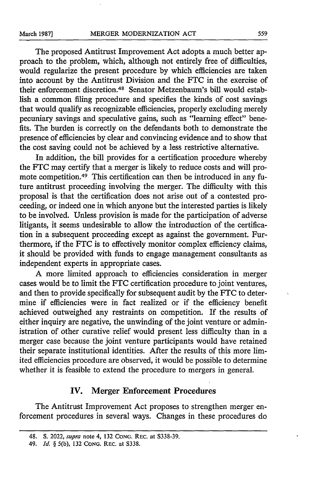The proposed Antitrust Improvement Act adopts a much better approach to the problem, which, although not entirely free of difficulties, would regularize the present procedure by which efficiencies are taken into account by the Antitrust Division and the FTC in the exercise of their enforcement discretion. 48 Senator Metzenbaum's bill would establish a common filing procedure and specifies the kinds of cost savings that would qualify as recognizable efficiencies, properly excluding merely pecuniary savings and speculative gains, such as "learning effect" benefits. The burden is correctly on the defendants both to demonstrate the presence of efficiencies by clear and convincing evidence and to show that the cost saving could not be achieved by a less restrictive alternative.

In addition, the bill provides for a certification procedure whereby the FTC may certify that a merger is likely to reduce costs and will promote competition.49 This certification can then be introduced in any future antitrust proceeding involving the merger. The difficulty with this proposal is that the certification does not arise out of a contested proceeding, or indeed one in which anyone but the interested parties is likely to be involved. Unless provision is made for the participation of adverse litigants, it seems undesirable to allow the introduction of the certification in a subsequent proceeding except as against the government. Furthermore, if the FTC is to effectively monitor complex efficiency claims, it should be provided with funds to engage management consultants as independent experts in appropriate cases.

A more limited approach to efficiencies consideration in merger cases would be to limit the FTC certification procedure to joint ventures, and then to provide specifically for subsequent audit by the FTC to determine if efficiencies were in fact realized or if the efficiency benefit achieved outweighed any restraints on competition. If the results of either inquiry are negative, the unwinding of the joint venture or administration of other curative relief would present less difficulty than in a merger case because the joint venture participants would have retained their separate institutional identities. After the results of this more limited efficiencies procedure are observed, it would be possible to determine whether it is feasible to extend the procedure to mergers in general.

## IV. Merger Enforcement Procedures

The Antitrust Improvement Act proposes to strengthen merger enforcement procedures in several ways. Changes in these procedures do

<sup>48.</sup> **S.** 2022, *supra* note 4, **132 CONG.** REC. at **S338-39.**

<sup>49.</sup> *Id. §* **5(b), 132 CONG. REC.** at **S338.**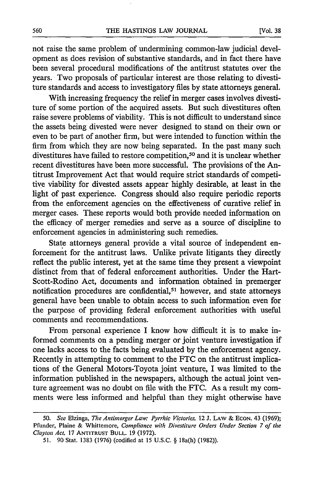not raise the same problem of undermining common-law judicial development as does revision of substantive standards, and in fact there have been several procedural modifications of the antitrust statutes over the years. Two proposals of particular interest are those relating to divestiture standards and access to investigatory files by state attorneys general.

With increasing frequency the relief in merger cases involves divestiture of some portion of the acquired assets. But such divestitures often raise severe problems of viability. This is not difficult to understand since the assets being divested were never designed to stand on their own or even to be part of another firm, but were intended to function within the firm from which they are now being separated. In the past many such divestitures have failed to restore competition,<sup>50</sup> and it is unclear whether recent divestitures have been more successful. The provisions of the Antitrust Improvement Act that would require strict standards of competitive viability for divested assets appear highly desirable, at least in the light of past experience. Congress should also require periodic reports from the enforcement agencies on the effectiveness of curative relief in merger cases. These reports would both provide needed information on the efficacy of merger remedies and serve as a source of discipline to enforcement agencies in administering such remedies.

State attorneys general provide a vital source of independent enforcement for the antitrust laws. Unlike private litigants they directly reflect the public interest, yet at the same time they present a viewpoint distinct from that of federal enforcement authorities. Under the Hart-Scott-Rodino Act, documents and information obtained in premerger notification procedures are confidential,<sup>51</sup> however, and state attorneys general have been unable to obtain access to such information even for the purpose of providing federal enforcement authorities with useful comments and recommendations.

From personal experience I know how difficult it is to make informed comments on a pending merger or joint venture investigation if one lacks access to the facts being evaluated by the enforcement agency. Recently in attempting to comment to the FTC on the antitrust implications of the General Motors-Toyota joint venture, I was limited to the information published in the newspapers, although the actual joint venture agreement was no doubt on file with the FTC. As a result my comments were less informed and helpful than they might otherwise have

<sup>50.</sup> *See* Elzinga, *The Antimerger Law: Pyrrhic Victories,* 12 J. LAW & ECON. 43 (1969); Pfunder, Plaine & Whittemore, *Compliance with Divestiture Orders Under Section 7 of the* Clayton *Act,* 17 **ANTITRUST BULL.** 19 (1972).

<sup>51. 90</sup> Stat. 1383 (1976) (codified at 15 **U.S.C.** § 18a(h) (1982)).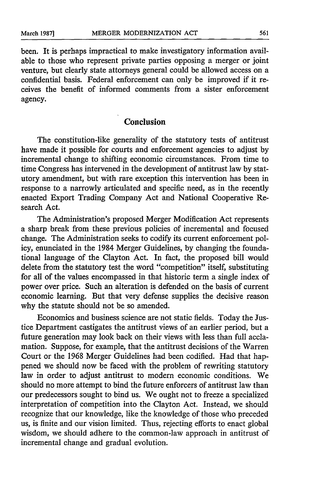been. It is perhaps impractical to make investigatory information available to those who represent private parties opposing a merger or joint venture, but clearly state attorneys general could be allowed access on a confidential basis. Federal enforcement can only be improved if it receives the benefit of informed comments from a sister enforcement agency.

### **Conclusion**

The constitution-like generality of the statutory tests of antitrust have made it possible for courts and enforcement agencies to adjust by incremental change to shifting economic circumstances. From time to time Congress has intervened in the development of antitrust law by statutory amendment, but with rare exception this intervention has been in response to a narrowly articulated and specific need, as in the recently enacted Export Trading Company Act and National Cooperative Research Act.

The Administration's proposed Merger Modification Act represents a sharp break from these previous policies of incremental and focused change. The Administration seeks to codify its current enforcement policy, enunciated in the 1984 Merger Guidelines, by changing the foundational language of the Clayton Act. In fact, the proposed bill would delete from the statutory test the word "competition" itself, substituting for all of the values encompassed in that historic term a single index of power over price. Such an alteration is defended on the basis of current economic learning. But that very defense supplies the decisive reason why the statute should not be so amended.

Economics and business science are not static fields. Today the Justice Department castigates the antitrust views of an earlier period, but a future generation may look back on their views with less than full acclamation. Suppose, for example, that the antitrust decisions of the Warren Court or the 1968 Merger Guidelines had been codified. Had that happened we should now be faced with the problem of rewriting statutory law in order to adjust antitrust to modern economic conditions. We should no more attempt to bind the future enforcers of antitrust law than our predecessors sought to bind us. We ought not to freeze a specialized interpretation of competition into the Clayton Act. Instead, we should recognize that our knowledge, like the knowledge of those who preceded us, is finite and our vision limited. Thus, rejecting efforts to enact global wisdom, we should adhere to the common-law approach in antitrust of incremental change and gradual evolution.